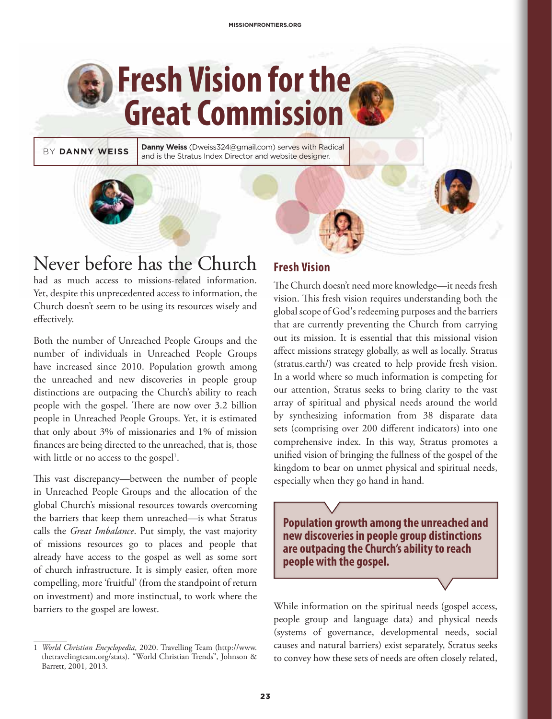# **Fresh Vision for the Great Commission**

BY **DANNY WEISS** Danny Weiss (Dweiss324@gmail.com) serves with Radical and is the Stratus Index Director and website designer.



# Never before has the Church

had as much access to missions-related information. Yet, despite this unprecedented access to information, the Church doesn't seem to be using its resources wisely and effectively.

Both the number of Unreached People Groups and the number of individuals in Unreached People Groups have increased since 2010. Population growth among the unreached and new discoveries in people group distinctions are outpacing the Church's ability to reach people with the gospel. There are now over 3.2 billion people in Unreached People Groups. Yet, it is estimated that only about 3% of missionaries and 1% of mission finances are being directed to the unreached, that is, those with little or no access to the gospel<sup>1</sup>.

This vast discrepancy—between the number of people in Unreached People Groups and the allocation of the global Church's missional resources towards overcoming the barriers that keep them unreached—is what Stratus calls the *Great Imbalance*. Put simply, the vast majority of missions resources go to places and people that already have access to the gospel as well as some sort of church infrastructure. It is simply easier, often more compelling, more 'fruitful' (from the standpoint of return on investment) and more instinctual, to work where the barriers to the gospel are lowest.

### **Fresh Vision**

The Church doesn't need more knowledge—it needs fresh vision. This fresh vision requires understanding both the global scope of God's redeeming purposes and the barriers that are currently preventing the Church from carrying out its mission. It is essential that this missional vision affect missions strategy globally, as well as locally. Stratus (stratus.earth/) was created to help provide fresh vision. In a world where so much information is competing for our attention, Stratus seeks to bring clarity to the vast array of spiritual and physical needs around the world by synthesizing information from 38 disparate data sets (comprising over 200 different indicators) into one comprehensive index. In this way, Stratus promotes a unified vision of bringing the fullness of the gospel of the kingdom to bear on unmet physical and spiritual needs, especially when they go hand in hand.

**Population growth among the unreached and new discoveries in people group distinctions are outpacing the Church's ability to reach people with the gospel.**

While information on the spiritual needs (gospel access, people group and language data) and physical needs (systems of governance, developmental needs, social causes and natural barriers) exist separately, Stratus seeks to convey how these sets of needs are often closely related,

<sup>1</sup> *World Christian Encyclopedia*, 2020. Travelling Team (http://www. thetravelingteam.org/stats). "World Christian Trends", Johnson & Barrett, 2001, 2013.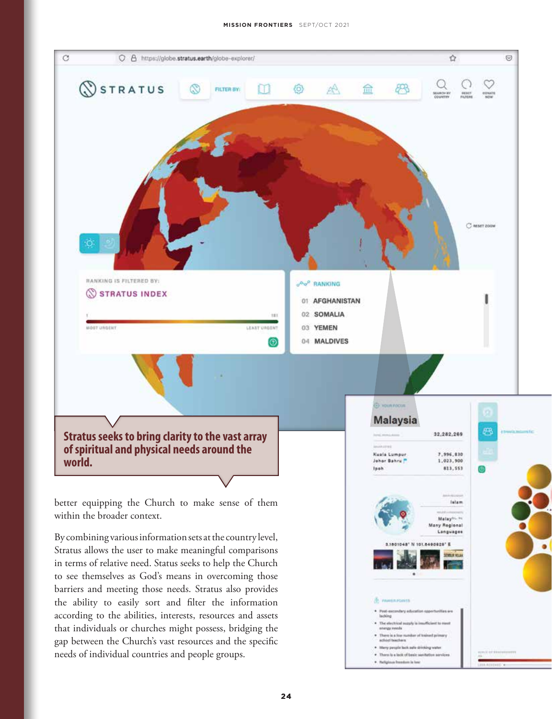